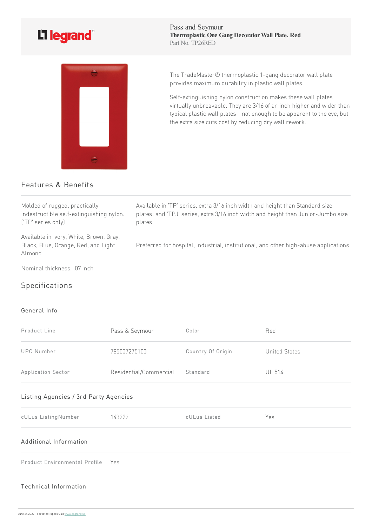## L'i legrand<sup>®</sup>



Pass and Seymour **Thermoplastic One Gang DecoratorWall Plate, Red** Part No. TP26RED

The TradeMaster® thermoplastic 1-gang decorator wall plate provides maximum durability in plastic wall plates.

Self-extinguishing nylon construction makes these wall plates virtually unbreakable. They are 3/16 of an inch higher and wider than typical plastic wall plates - not enough to be apparent to the eye, but the extra size cuts cost by reducing dry wall rework.

## Features & Benefits

Molded of rugged, practically indestructible self-extinguishing nylon. ('TP' series only)

Available in Ivory, White, Brown, Gray, Black, Blue, Orange, Red, and Light Almond

Nominal thickness, .07 inch

## Specifications

## General Info

| Product Line                          | Pass & Seymour         | Color             | Red                  |  |
|---------------------------------------|------------------------|-------------------|----------------------|--|
| <b>UPC Number</b>                     | 785007275100           | Country Of Origin | <b>United States</b> |  |
| Application Sector                    | Residential/Commercial | Standard          | <b>UL 514</b>        |  |
| Listing Agencies / 3rd Party Agencies |                        |                   |                      |  |
| cULus ListingNumber                   | 143222                 | cULus Listed      | Yes                  |  |
| Additional Information                |                        |                   |                      |  |
| Product Environmental Profile         | Yes                    |                   |                      |  |
| <b>Technical Information</b>          |                        |                   |                      |  |

Available in 'TP' series, extra 3/16 inch width and height than Standard size plates: and 'TPJ' series, extra 3/16 inch width and height than Junior-Jumbo size plates

Preferred for hospital, industrial, institutional, and other high-abuse applications